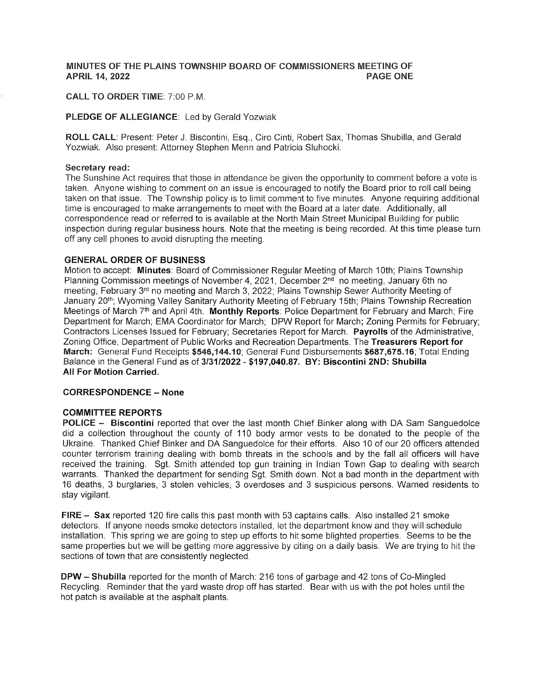#### MINUTES OF THE PLAINS TOWNSHIP BOARD OF COMMISSIONERS MEETING OF **APRIL 14, 2022 PAGE ONE**

## **CALL TO ORDER TIME: 7:00 P.M.**

## PLEDGE OF ALLEGIANCE: Led by Gerald Yozwiak

ROLL CALL: Present: Peter J. Biscontini, Esq., Ciro Cinti, Robert Sax, Thomas Shubilla, and Gerald Yozwiak. Also present: Attorney Stephen Menn and Patricia Sluhocki.

#### Secretary read:

The Sunshine Act requires that those in attendance be given the opportunity to comment before a vote is taken. Anyone wishing to comment on an issue is encouraged to notify the Board prior to roll call being taken on that issue. The Township policy is to limit comment to five minutes. Anyone requiring additional time is encouraged to make arrangements to meet with the Board at a later date. Additionally, all correspondence read or referred to is available at the North Main Street Municipal Building for public inspection during regular business hours. Note that the meeting is being recorded. At this time please turn off any cell phones to avoid disrupting the meeting.

### **GENERAL ORDER OF BUSINESS**

Motion to accept: Minutes: Board of Commissioner Regular Meeting of March 10th; Plains Township Planning Commission meetings of November 4, 2021, December 2<sup>nd</sup> no meeting, January 6th no meeting, February 3<sup>rd</sup> no meeting and March 3, 2022; Plains Township Sewer Authority Meeting of January 20<sup>th</sup>; Wyoming Valley Sanitary Authority Meeting of February 15th; Plains Township Recreation Meetings of March 7th and April 4th. Monthly Reports: Police Department for February and March; Fire Department for March; EMA Coordinator for March; DPW Report for March; Zoning Permits for February; Contractors Licenses Issued for February; Secretaries Report for March. Payrolls of the Administrative, Zoning Office, Department of Public Works and Recreation Departments. The Treasurers Report for March: General Fund Receipts \$546,144.10; General Fund Disbursements \$687,675.16; Total Ending Balance in the General Fund as of 3/31/2022 - \$197,040.87. BY: Biscontini 2ND: Shubilla **All For Motion Carried.** 

#### **CORRESPONDENCE - None**

## **COMMITTEE REPORTS**

POLICE - Biscontini reported that over the last month Chief Binker along with DA Sam Sanguedolce did a collection throughout the county of 110 body armor vests to be donated to the people of the Ukraine. Thanked Chief Binker and DA Sanguedolce for their efforts. Also 10 of our 20 officers attended counter terrorism training dealing with bomb threats in the schools and by the fall all officers will have received the training. Sqt. Smith attended top gun training in Indian Town Gap to dealing with search warrants. Thanked the department for sending Sgt. Smith down. Not a bad month in the department with 16 deaths, 3 burglaries, 3 stolen vehicles, 3 overdoses and 3 suspicious persons. Warned residents to stay vigilant.

FIRE - Sax reported 120 fire calls this past month with 53 captains calls. Also installed 21 smoke detectors. If anyone needs smoke detectors installed, let the department know and they will schedule installation. This spring we are going to step up efforts to hit some blighted properties. Seems to be the same properties but we will be getting more aggressive by citing on a daily basis. We are trying to hit the sections of town that are consistently neglected.

DPW - Shubilla reported for the month of March: 216 tons of garbage and 42 tons of Co-Mingled Recycling. Reminder that the yard waste drop off has started. Bear with us with the pot holes until the hot patch is available at the asphalt plants.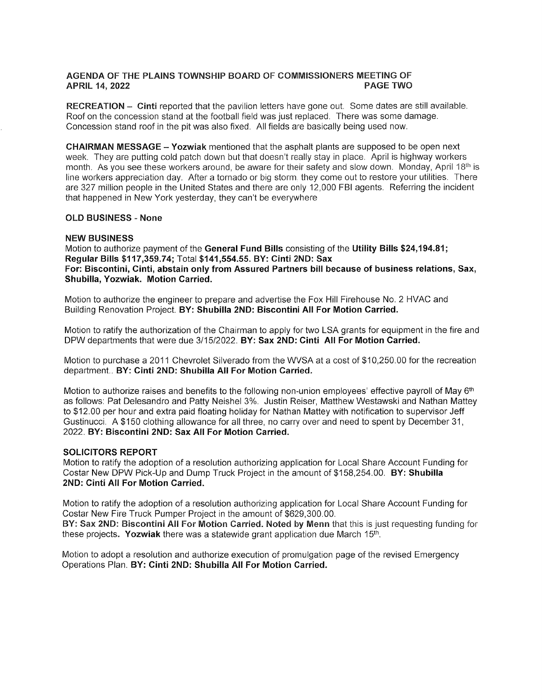# AGENDA OF THE PLAINS TOWNSHIP BOARD OF COMMISSIONERS MEETING OF APRIL 14. 2022 **APRIL 14, 2022**

RECREATION - Cinti reported that the pavilion letters have gone out. Some dates are still available. Roof on the concession stand at the football field was just replaced. There was some damage. Concession stand roof in the pit was also fixed. All fields are basically being used now.

**CHAIRMAN MESSAGE - Yozwiak** mentioned that the asphalt plants are supposed to be open next week. They are putting cold patch down but that doesn't really stay in place. April is highway workers month. As you see these workers around, be aware for their safety and slow down. Monday, April 18<sup>th</sup> is line workers appreciation day. After a tornado or big storm, they come out to restore your utilities. There are 327 million people in the United States and there are only 12,000 FBI agents. Referring the incident that happened in New York yesterday, they can't be everywhere

# OLÞ BUSINESS - None

# NEW BUSINESS

Motion to authorize payment of the General Fund Bills consisting of the Utility Bills \$24,194.81; Regular Bills \$117,359.74; Total \$141,554.55. BY: Cinti 2ND: Sax For: Biscontini, Cinti, abstain only from Assured Partners bill because of business relations, Sax, Shubilla, Yozwiak. Motion Carried.

Motion to authorize the engineer to prepare and advertise the Fox Hill Firehouse No. 2 HVAC and Building Renovation Project. BY: Shubilla 2ND: Biscontini All For Motion Carried.

Motion to ratify the authorization of the Chairman to apply for two LSA grants for equipment in the fire and DPW departments that were due 3/1512022. BY: Sax 2ND: Cinti All For Motion Carried.

Motion to purchase a 2011 Chevrolet Silverado from the WVSA at a cost of \$10,250.00 for the recreation department. BY: Cinti 2ND; Shubilla All For Motion Carried.

Motion to authorize raises and benefits to the following non-union employees' effective payroll of May 6<sup>th</sup> as follows: Pat Delesandro and Patty Neishel 3%. Justin Reiser, Matthew Westawski and Nathan Mattey to \$12.00 per hour and extra paid floating holiday for Nathan Mattey with notification to supervisor Jeff Gustinucci. A \$150 clothing allowance for all three, no carry over and need to spent by December <sup>31</sup>, 2022. BY:. Biscontini 2ND: Sax All For Motion Carried.

#### SOLICITORS REPORT

Motion to ratify the adoption of a resolution authorizing application for Local Share Account Funding for Costar New DPW Pick-Up and Dump Truck Project in the amount of \$158,254.00. BY: Shubilla 2ND: Cinti All For Motion Carried.

Motion to ratify the adoption of a resolution authorizing application for Local Share Account Funding for Costar New Fire Truck Pumper Project in the amount of \$629,300.00. BY: Sax 2ND: Biscontini All For Motion Carried. Noted by Menn that this is just requesting funding for these projects. Yozwiak there was a statewide grant application due March  $15<sup>th</sup>$ .

Motion to adopt a resolution and authorize execution of promulgation page of the revised Emergency Operations Plan. BY: Cinti 2ND: Shubilla All For Motion Carried.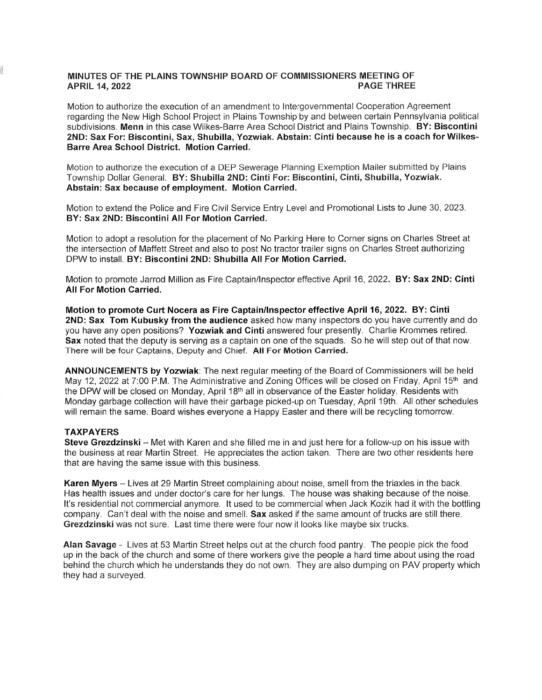#### MINUTES OF THE PLAINS TOWNSHIP BOARD OF COMMISSIONERS MEETING OF **APRIL 14, 2022 PAGE THREE**

Motion to authorize the execution of an amendment to Intergovernmental Cooperation Agreement regarding the New High School Project in Plains Township by and between certain Pennsylvania political subdivisions. Menn in this case Wilkes-Barre Area School District and Plains Township. BY: Biscontini 2ND: Sax For: Biscontini, Sax, Shubilla, Yozwiak. Abstain: Cinti because he is a coach for Wilkes-Barre Area School District. Motion Carried.

Motion to authorize the execution of a DEP Sewerage Planning Exemption Mailer submitted by Plains Township Dollar General. BY: Shubilla 2ND: Cinti For: Biscontini, Cinti, Shubilla, Yozwiak. Abstain: Sax because of employment. Motion Carried.

Motion to extend the Police and Fire Civil Service Entry Level and Promotional Lists to June 30, 2023. BY: Sax 2ND: Biscontini All For Motion Carried.

Motion to adopt a resolution for the placement of No Parking Here to Corner signs on Charles Street at the intersection of Maffett Street and also to post No tractor trailer signs on Charles Street authorizing DPW to install. BY: Biscontini 2ND: Shubilla All For Motion Carried.

Motion to promote Jarrod Million as Fire Captain/Inspector effective April 16, 2022. BY: Sax 2ND: Cinti **All For Motion Carried.** 

Motion to promote Curt Nocera as Fire Captain/Inspector effective April 16, 2022. BY: Cinti 2ND: Sax Tom Kubusky from the audience asked how many inspectors do you have currently and do you have any open positions? Yozwiak and Cinti answered four presently. Charlie Krommes retired. Sax noted that the deputy is serving as a captain on one of the squads. So he will step out of that now. There will be four Captains, Deputy and Chief. All For Motion Carried.

ANNOUNCEMENTS by Yozwiak: The next regular meeting of the Board of Commissioners will be held May 12, 2022 at 7:00 P.M. The Administrative and Zoning Offices will be closed on Friday, April 15<sup>th</sup> and the DPW will be closed on Monday, April 18th all in observance of the Easter holiday. Residents with Monday garbage collection will have their garbage picked-up on Tuesday, April 19th. All other schedules will remain the same. Board wishes everyone a Happy Easter and there will be recycling tomorrow.

# **TAXPAYERS**

Steve Grezdzinski - Met with Karen and she filled me in and just here for a follow-up on his issue with the business at rear Martin Street. He appreciates the action taken. There are two other residents here that are having the same issue with this business.

Karen Myers - Lives at 29 Martin Street complaining about noise, smell from the triaxles in the back. Has health issues and under doctor's care for her lungs. The house was shaking because of the noise. It's residential not commercial anymore. It used to be commercial when Jack Kozik had it with the bottling company. Can't deal with the noise and smell. Sax asked if the same amount of trucks are still there. Grezdzinski was not sure. Last time there were four now it looks like maybe six trucks.

Alan Savage - Lives at 53 Martin Street helps out at the church food pantry. The people pick the food up in the back of the church and some of there workers give the people a hard time about using the road behind the church which he understands they do not own. They are also dumping on PAV property which they had a surveyed.